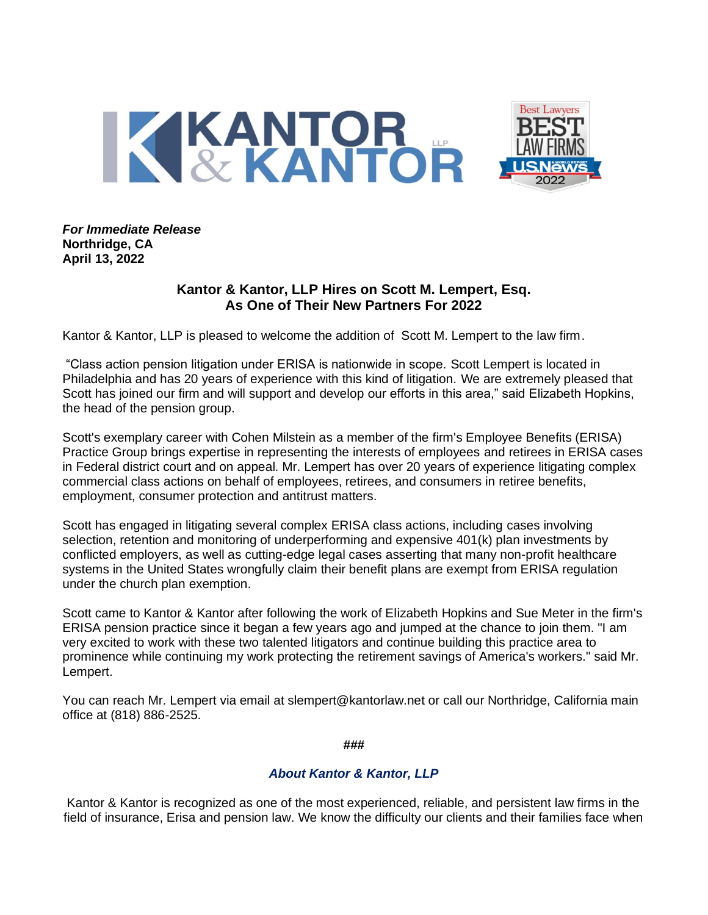

*For Immediate Release* **Northridge, CA April 13, 2022**

## **Kantor & Kantor, LLP Hires on Scott M. Lempert, Esq. As One of Their New Partners For 2022**

Kantor & Kantor, LLP is pleased to welcome the addition of Scott M. Lempert to the law firm.

"Class action pension litigation under ERISA is nationwide in scope. Scott Lempert is located in Philadelphia and has 20 years of experience with this kind of litigation. We are extremely pleased that Scott has joined our firm and will support and develop our efforts in this area," said Elizabeth Hopkins, the head of the pension group.

Scott's exemplary career with Cohen Milstein as a member of the firm's Employee Benefits (ERISA) Practice Group brings expertise in representing the interests of employees and retirees in ERISA cases in Federal district court and on appeal. Mr. Lempert has over 20 years of experience litigating complex commercial class actions on behalf of employees, retirees, and consumers in retiree benefits, employment, consumer protection and antitrust matters.

Scott has engaged in litigating several complex ERISA class actions, including cases involving selection, retention and monitoring of underperforming and expensive 401(k) plan investments by conflicted employers, as well as cutting-edge legal cases asserting that many non-profit healthcare systems in the United States wrongfully claim their benefit plans are exempt from ERISA regulation under the church plan exemption.

Scott came to Kantor & Kantor after following the work of Elizabeth Hopkins and Sue Meter in the firm's ERISA pension practice since it began a few years ago and jumped at the chance to join them. "I am very excited to work with these two talented litigators and continue building this practice area to prominence while continuing my work protecting the retirement savings of America's workers." said Mr. Lempert.

You can reach Mr. Lempert via email at slempert@kantorlaw.net or call our Northridge, California main office at (818) 886-2525.

**###**

## *About Kantor & Kantor, LLP*

Kantor & Kantor is recognized as one of the most experienced, reliable, and persistent law firms in the field of insurance, Erisa and pension law. We know the difficulty our clients and their families face when